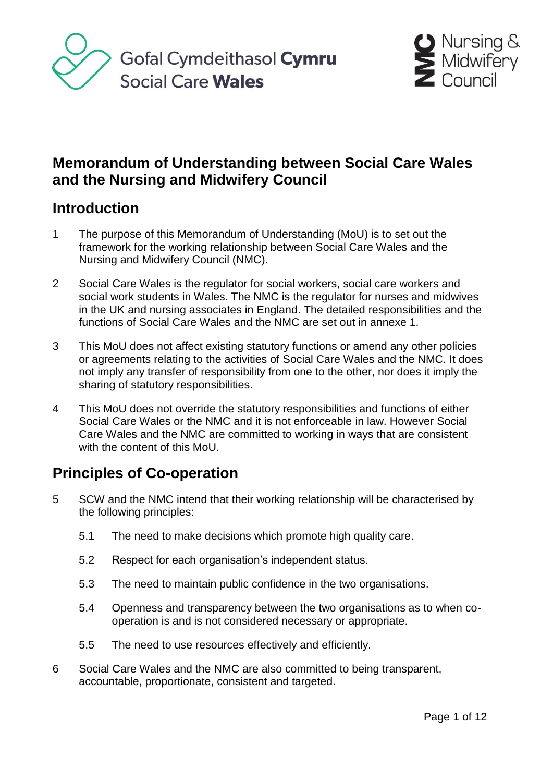



# **Memorandum of Understanding between Social Care Wales and the Nursing and Midwifery Council**

## **Introduction**

- 1 The purpose of this Memorandum of Understanding (MoU) is to set out the framework for the working relationship between Social Care Wales and the Nursing and Midwifery Council (NMC).
- 2 Social Care Wales is the regulator for social workers, social care workers and social work students in Wales. The NMC is the regulator for nurses and midwives in the UK and nursing associates in England. The detailed responsibilities and the functions of Social Care Wales and the NMC are set out in annexe 1.
- 3 This MoU does not affect existing statutory functions or amend any other policies or agreements relating to the activities of Social Care Wales and the NMC. It does not imply any transfer of responsibility from one to the other, nor does it imply the sharing of statutory responsibilities.
- 4 This MoU does not override the statutory responsibilities and functions of either Social Care Wales or the NMC and it is not enforceable in law. However Social Care Wales and the NMC are committed to working in ways that are consistent with the content of this MoU.

# **Principles of Co-operation**

- 5 SCW and the NMC intend that their working relationship will be characterised by the following principles:
	- 5.1 The need to make decisions which promote high quality care.
	- 5.2 Respect for each organisation's independent status.
	- 5.3 The need to maintain public confidence in the two organisations.
	- 5.4 Openness and transparency between the two organisations as to when cooperation is and is not considered necessary or appropriate.
	- 5.5 The need to use resources effectively and efficiently.
- 6 Social Care Wales and the NMC are also committed to being transparent, accountable, proportionate, consistent and targeted.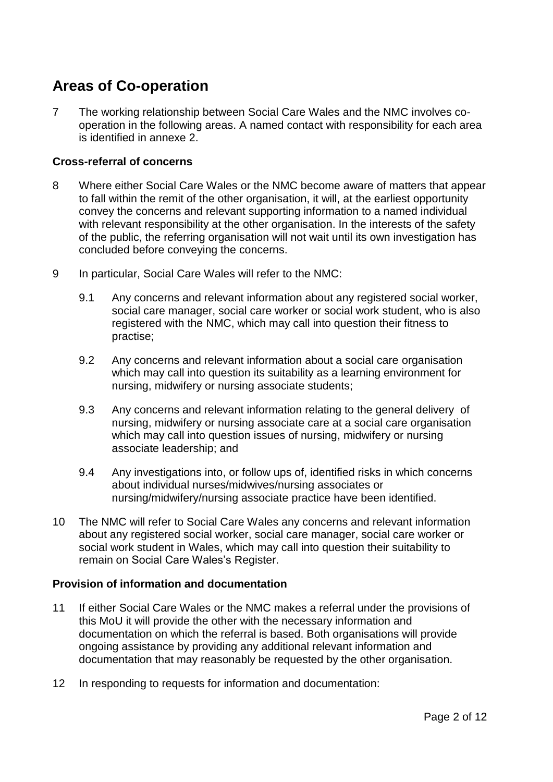# **Areas of Co-operation**

7 The working relationship between Social Care Wales and the NMC involves cooperation in the following areas. A named contact with responsibility for each area is identified in annexe 2.

### **Cross-referral of concerns**

- 8 Where either Social Care Wales or the NMC become aware of matters that appear to fall within the remit of the other organisation, it will, at the earliest opportunity convey the concerns and relevant supporting information to a named individual with relevant responsibility at the other organisation. In the interests of the safety of the public, the referring organisation will not wait until its own investigation has concluded before conveying the concerns.
- 9 In particular, Social Care Wales will refer to the NMC:
	- 9.1 Any concerns and relevant information about any registered social worker, social care manager, social care worker or social work student, who is also registered with the NMC, which may call into question their fitness to practise;
	- 9.2 Any concerns and relevant information about a social care organisation which may call into question its suitability as a learning environment for nursing, midwifery or nursing associate students;
	- 9.3 Any concerns and relevant information relating to the general delivery of nursing, midwifery or nursing associate care at a social care organisation which may call into question issues of nursing, midwifery or nursing associate leadership; and
	- 9.4 Any investigations into, or follow ups of, identified risks in which concerns about individual nurses/midwives/nursing associates or nursing/midwifery/nursing associate practice have been identified.
- 10 The NMC will refer to Social Care Wales any concerns and relevant information about any registered social worker, social care manager, social care worker or social work student in Wales, which may call into question their suitability to remain on Social Care Wales's Register.

### **Provision of information and documentation**

- 11 If either Social Care Wales or the NMC makes a referral under the provisions of this MoU it will provide the other with the necessary information and documentation on which the referral is based. Both organisations will provide ongoing assistance by providing any additional relevant information and documentation that may reasonably be requested by the other organisation.
- 12 In responding to requests for information and documentation: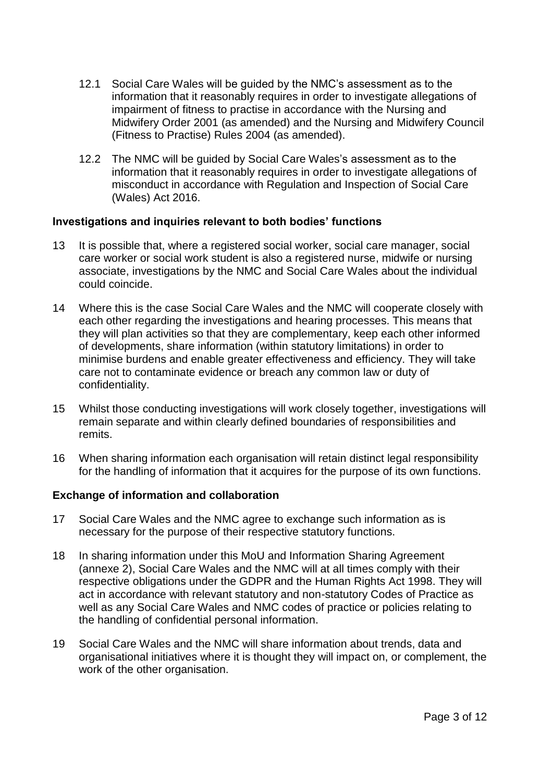- 12.1 Social Care Wales will be guided by the NMC's assessment as to the information that it reasonably requires in order to investigate allegations of impairment of fitness to practise in accordance with the Nursing and Midwifery Order 2001 (as amended) and the Nursing and Midwifery Council (Fitness to Practise) Rules 2004 (as amended).
- 12.2 The NMC will be guided by Social Care Wales's assessment as to the information that it reasonably requires in order to investigate allegations of misconduct in accordance with Regulation and Inspection of Social Care (Wales) Act 2016.

### **Investigations and inquiries relevant to both bodies' functions**

- 13 It is possible that, where a registered social worker, social care manager, social care worker or social work student is also a registered nurse, midwife or nursing associate, investigations by the NMC and Social Care Wales about the individual could coincide.
- 14 Where this is the case Social Care Wales and the NMC will cooperate closely with each other regarding the investigations and hearing processes. This means that they will plan activities so that they are complementary, keep each other informed of developments, share information (within statutory limitations) in order to minimise burdens and enable greater effectiveness and efficiency. They will take care not to contaminate evidence or breach any common law or duty of confidentiality.
- 15 Whilst those conducting investigations will work closely together, investigations will remain separate and within clearly defined boundaries of responsibilities and remits.
- 16 When sharing information each organisation will retain distinct legal responsibility for the handling of information that it acquires for the purpose of its own functions.

#### **Exchange of information and collaboration**

- 17 Social Care Wales and the NMC agree to exchange such information as is necessary for the purpose of their respective statutory functions.
- 18 In sharing information under this MoU and Information Sharing Agreement (annexe 2), Social Care Wales and the NMC will at all times comply with their respective obligations under the GDPR and the Human Rights Act 1998. They will act in accordance with relevant statutory and non-statutory Codes of Practice as well as any Social Care Wales and NMC codes of practice or policies relating to the handling of confidential personal information.
- 19 Social Care Wales and the NMC will share information about trends, data and organisational initiatives where it is thought they will impact on, or complement, the work of the other organisation.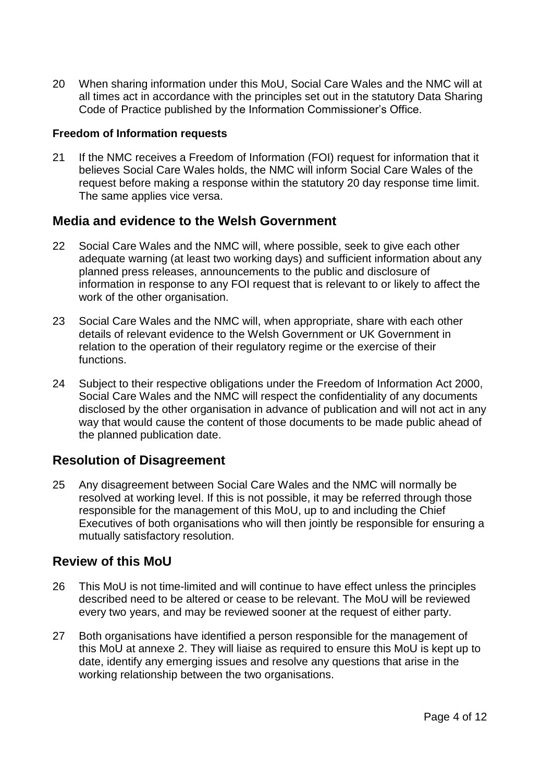20 When sharing information under this MoU, Social Care Wales and the NMC will at all times act in accordance with the principles set out in the statutory Data Sharing Code of Practice published by the Information Commissioner's Office.

#### **Freedom of Information requests**

21 If the NMC receives a Freedom of Information (FOI) request for information that it believes Social Care Wales holds, the NMC will inform Social Care Wales of the request before making a response within the statutory 20 day response time limit. The same applies vice versa.

### **Media and evidence to the Welsh Government**

- 22 Social Care Wales and the NMC will, where possible, seek to give each other adequate warning (at least two working days) and sufficient information about any planned press releases, announcements to the public and disclosure of information in response to any FOI request that is relevant to or likely to affect the work of the other organisation.
- 23 Social Care Wales and the NMC will, when appropriate, share with each other details of relevant evidence to the Welsh Government or UK Government in relation to the operation of their regulatory regime or the exercise of their functions.
- 24 Subject to their respective obligations under the Freedom of Information Act 2000, Social Care Wales and the NMC will respect the confidentiality of any documents disclosed by the other organisation in advance of publication and will not act in any way that would cause the content of those documents to be made public ahead of the planned publication date.

### **Resolution of Disagreement**

25 Any disagreement between Social Care Wales and the NMC will normally be resolved at working level. If this is not possible, it may be referred through those responsible for the management of this MoU, up to and including the Chief Executives of both organisations who will then jointly be responsible for ensuring a mutually satisfactory resolution.

### **Review of this MoU**

- 26 This MoU is not time-limited and will continue to have effect unless the principles described need to be altered or cease to be relevant. The MoU will be reviewed every two years, and may be reviewed sooner at the request of either party.
- 27 Both organisations have identified a person responsible for the management of this MoU at annexe 2. They will liaise as required to ensure this MoU is kept up to date, identify any emerging issues and resolve any questions that arise in the working relationship between the two organisations.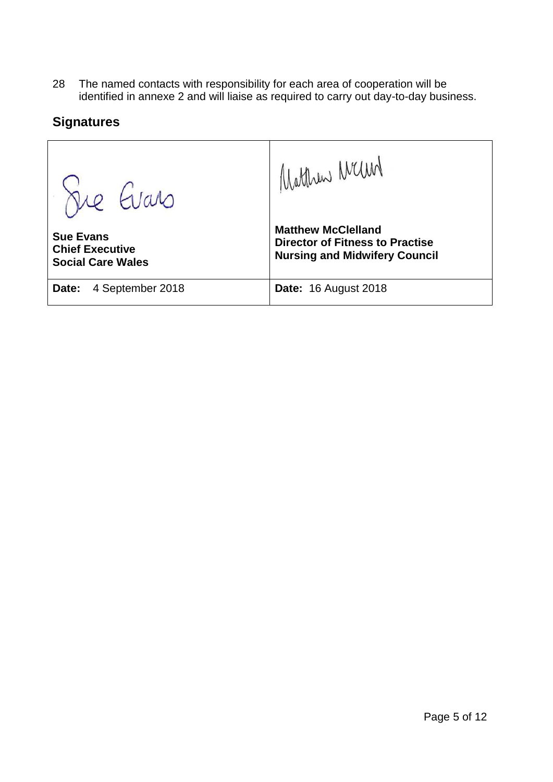28 The named contacts with responsibility for each area of cooperation will be identified in annexe 2 and will liaise as required to carry out day-to-day business.

## **Signatures**

Matthew Mand Fre Evans **Matthew McClelland Sue Evans Director of Fitness to Practise Chief Executive Nursing and Midwifery Council Social Care Wales Date:** 4 September 2018 **Date:** 16 August 2018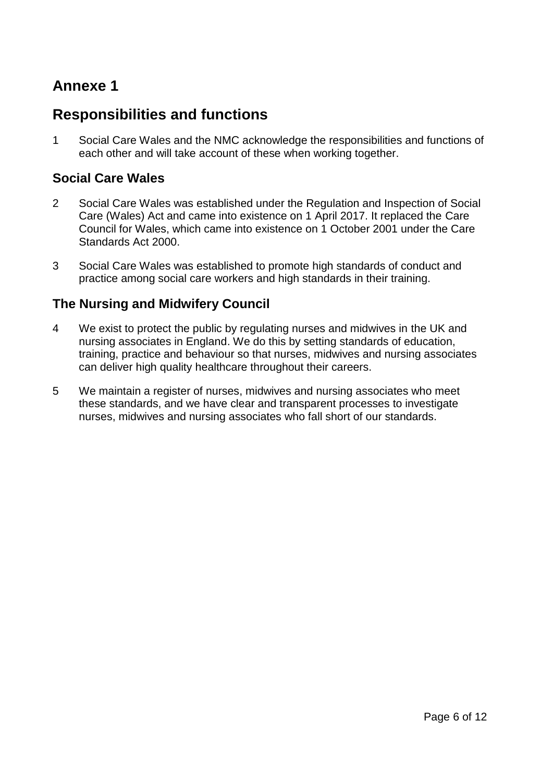# **Annexe 1**

# **Responsibilities and functions**

1 Social Care Wales and the NMC acknowledge the responsibilities and functions of each other and will take account of these when working together.

## **Social Care Wales**

- 2 Social Care Wales was established under the Regulation and Inspection of Social Care (Wales) Act and came into existence on 1 April 2017. It replaced the Care Council for Wales, which came into existence on 1 October 2001 under the Care Standards Act 2000.
- 3 Social Care Wales was established to promote high standards of conduct and practice among social care workers and high standards in their training.

## **The Nursing and Midwifery Council**

- 4 We exist to protect the public by regulating nurses and midwives in the UK and nursing associates in England. We do this by setting standards of education, training, practice and behaviour so that nurses, midwives and nursing associates can deliver high quality healthcare throughout their careers.
- 5 We maintain a register of nurses, midwives and nursing associates who meet these standards, and we have clear and transparent processes to investigate nurses, midwives and nursing associates who fall short of our standards.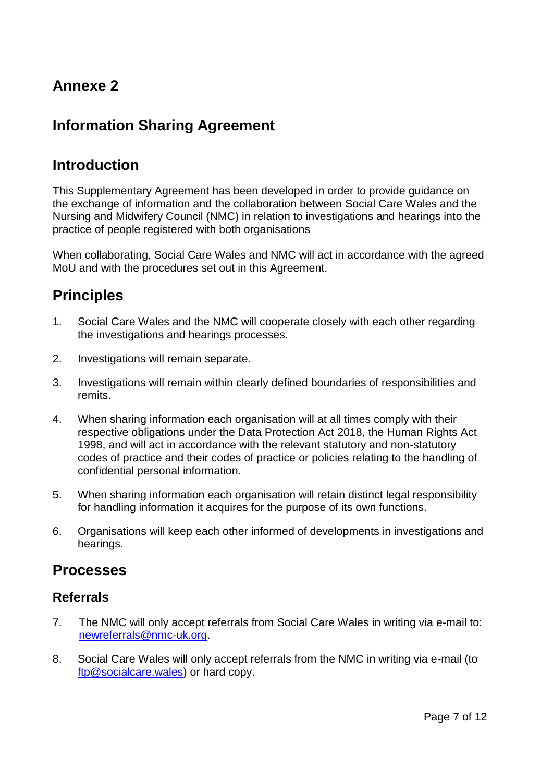# **Annexe 2**

# **Information Sharing Agreement**

## **Introduction**

This Supplementary Agreement has been developed in order to provide guidance on the exchange of information and the collaboration between Social Care Wales and the Nursing and Midwifery Council (NMC) in relation to investigations and hearings into the practice of people registered with both organisations

When collaborating, Social Care Wales and NMC will act in accordance with the agreed MoU and with the procedures set out in this Agreement.

# **Principles**

- 1. Social Care Wales and the NMC will cooperate closely with each other regarding the investigations and hearings processes.
- 2. Investigations will remain separate.
- 3. Investigations will remain within clearly defined boundaries of responsibilities and remits.
- 4. When sharing information each organisation will at all times comply with their respective obligations under the Data Protection Act 2018, the Human Rights Act 1998, and will act in accordance with the relevant statutory and non-statutory codes of practice and their codes of practice or policies relating to the handling of confidential personal information.
- 5. When sharing information each organisation will retain distinct legal responsibility for handling information it acquires for the purpose of its own functions.
- 6. Organisations will keep each other informed of developments in investigations and hearings.

## **Processes**

### **Referrals**

- 7. The NMC will only accept referrals from Social Care Wales in writing via e-mail to: [newreferrals@nmc-uk.org.](mailto:newreferrals@nmc-uk.org)
- 8. Social Care Wales will only accept referrals from the NMC in writing via e-mail (to [ftp@socialcare.wales\)](mailto:ftp@socialcare.wales) or hard copy.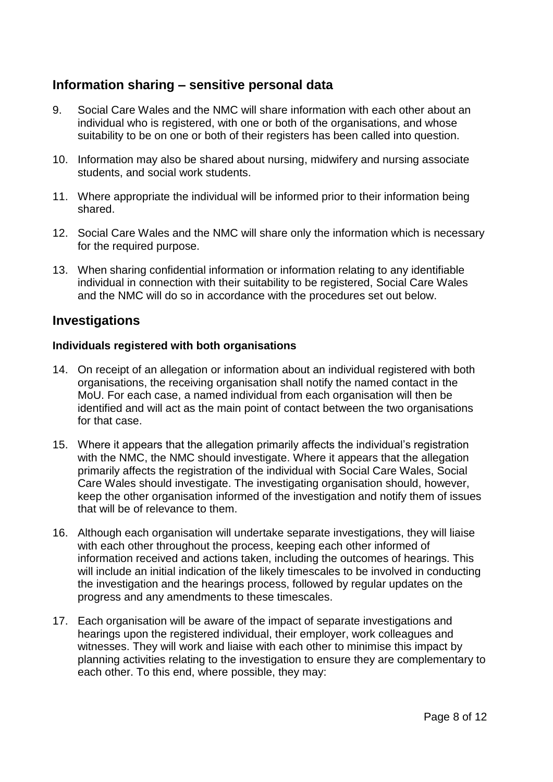## **Information sharing – sensitive personal data**

- 9. Social Care Wales and the NMC will share information with each other about an individual who is registered, with one or both of the organisations, and whose suitability to be on one or both of their registers has been called into question.
- 10. Information may also be shared about nursing, midwifery and nursing associate students, and social work students.
- 11. Where appropriate the individual will be informed prior to their information being shared.
- 12. Social Care Wales and the NMC will share only the information which is necessary for the required purpose.
- 13. When sharing confidential information or information relating to any identifiable individual in connection with their suitability to be registered, Social Care Wales and the NMC will do so in accordance with the procedures set out below.

### **Investigations**

### **Individuals registered with both organisations**

- 14. On receipt of an allegation or information about an individual registered with both organisations, the receiving organisation shall notify the named contact in the MoU. For each case, a named individual from each organisation will then be identified and will act as the main point of contact between the two organisations for that case.
- 15. Where it appears that the allegation primarily affects the individual's registration with the NMC, the NMC should investigate. Where it appears that the allegation primarily affects the registration of the individual with Social Care Wales, Social Care Wales should investigate. The investigating organisation should, however, keep the other organisation informed of the investigation and notify them of issues that will be of relevance to them.
- 16. Although each organisation will undertake separate investigations, they will liaise with each other throughout the process, keeping each other informed of information received and actions taken, including the outcomes of hearings. This will include an initial indication of the likely timescales to be involved in conducting the investigation and the hearings process, followed by regular updates on the progress and any amendments to these timescales.
- 17. Each organisation will be aware of the impact of separate investigations and hearings upon the registered individual, their employer, work colleagues and witnesses. They will work and liaise with each other to minimise this impact by planning activities relating to the investigation to ensure they are complementary to each other. To this end, where possible, they may: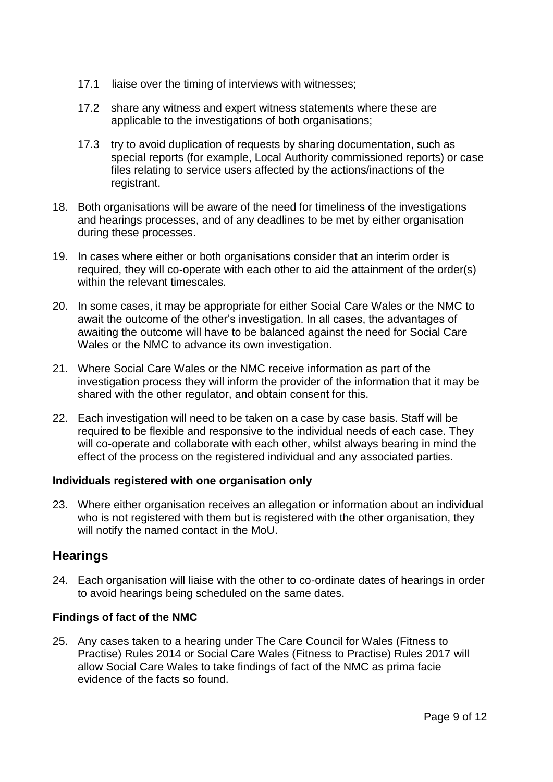- 17.1 liaise over the timing of interviews with witnesses;
- 17.2 share any witness and expert witness statements where these are applicable to the investigations of both organisations;
- 17.3 try to avoid duplication of requests by sharing documentation, such as special reports (for example, Local Authority commissioned reports) or case files relating to service users affected by the actions/inactions of the registrant.
- 18. Both organisations will be aware of the need for timeliness of the investigations and hearings processes, and of any deadlines to be met by either organisation during these processes.
- 19. In cases where either or both organisations consider that an interim order is required, they will co-operate with each other to aid the attainment of the order(s) within the relevant timescales.
- 20. In some cases, it may be appropriate for either Social Care Wales or the NMC to await the outcome of the other's investigation. In all cases, the advantages of awaiting the outcome will have to be balanced against the need for Social Care Wales or the NMC to advance its own investigation.
- 21. Where Social Care Wales or the NMC receive information as part of the investigation process they will inform the provider of the information that it may be shared with the other regulator, and obtain consent for this.
- 22. Each investigation will need to be taken on a case by case basis. Staff will be required to be flexible and responsive to the individual needs of each case. They will co-operate and collaborate with each other, whilst always bearing in mind the effect of the process on the registered individual and any associated parties.

### **Individuals registered with one organisation only**

23. Where either organisation receives an allegation or information about an individual who is not registered with them but is registered with the other organisation, they will notify the named contact in the MoU.

### **Hearings**

24. Each organisation will liaise with the other to co-ordinate dates of hearings in order to avoid hearings being scheduled on the same dates.

### **Findings of fact of the NMC**

25. Any cases taken to a hearing under The Care Council for Wales (Fitness to Practise) Rules 2014 or Social Care Wales (Fitness to Practise) Rules 2017 will allow Social Care Wales to take findings of fact of the NMC as prima facie evidence of the facts so found.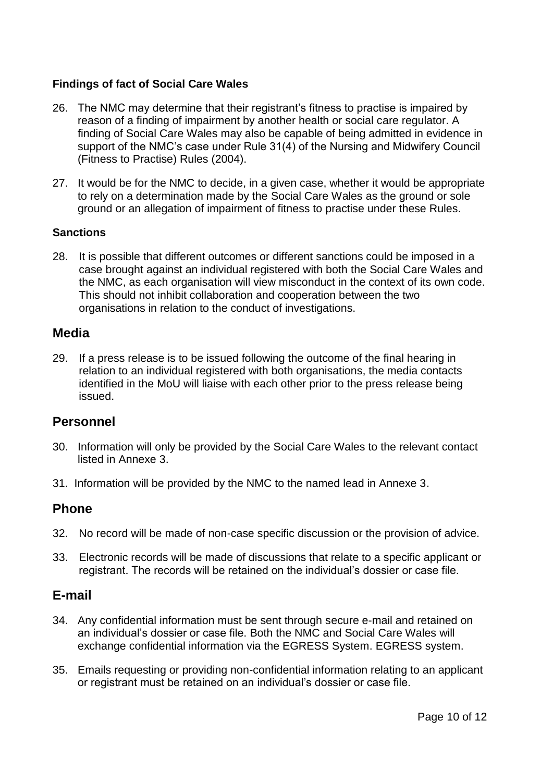### **Findings of fact of Social Care Wales**

- 26. The NMC may determine that their registrant's fitness to practise is impaired by reason of a finding of impairment by another health or social care regulator. A finding of Social Care Wales may also be capable of being admitted in evidence in support of the NMC's case under Rule 31(4) of the Nursing and Midwifery Council (Fitness to Practise) Rules (2004).
- 27. It would be for the NMC to decide, in a given case, whether it would be appropriate to rely on a determination made by the Social Care Wales as the ground or sole ground or an allegation of impairment of fitness to practise under these Rules.

### **Sanctions**

28. It is possible that different outcomes or different sanctions could be imposed in a case brought against an individual registered with both the Social Care Wales and the NMC, as each organisation will view misconduct in the context of its own code. This should not inhibit collaboration and cooperation between the two organisations in relation to the conduct of investigations.

### **Media**

29. If a press release is to be issued following the outcome of the final hearing in relation to an individual registered with both organisations, the media contacts identified in the MoU will liaise with each other prior to the press release being issued.

### **Personnel**

- 30. Information will only be provided by the Social Care Wales to the relevant contact listed in Annexe 3.
- 31. Information will be provided by the NMC to the named lead in Annexe 3.

### **Phone**

- 32. No record will be made of non-case specific discussion or the provision of advice.
- 33. Electronic records will be made of discussions that relate to a specific applicant or registrant. The records will be retained on the individual's dossier or case file.

### **E-mail**

- 34. Any confidential information must be sent through secure e-mail and retained on an individual's dossier or case file. Both the NMC and Social Care Wales will exchange confidential information via the EGRESS System. EGRESS system.
- 35. Emails requesting or providing non-confidential information relating to an applicant or registrant must be retained on an individual's dossier or case file.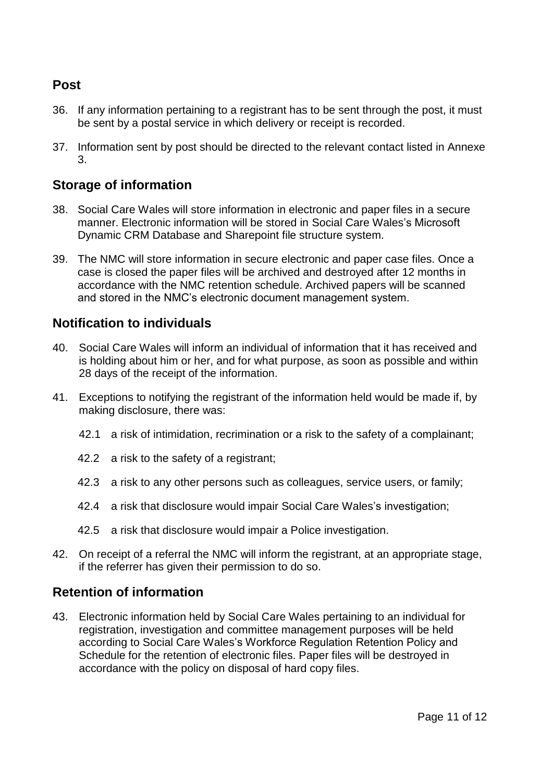## **Post**

- 36. If any information pertaining to a registrant has to be sent through the post, it must be sent by a postal service in which delivery or receipt is recorded.
- 37. Information sent by post should be directed to the relevant contact listed in Annexe 3.

## **Storage of information**

- 38. Social Care Wales will store information in electronic and paper files in a secure manner. Electronic information will be stored in Social Care Wales's Microsoft Dynamic CRM Database and Sharepoint file structure system.
- 39. The NMC will store information in secure electronic and paper case files. Once a case is closed the paper files will be archived and destroyed after 12 months in accordance with the NMC retention schedule. Archived papers will be scanned and stored in the NMC's electronic document management system.

## **Notification to individuals**

- 40. Social Care Wales will inform an individual of information that it has received and is holding about him or her, and for what purpose, as soon as possible and within 28 days of the receipt of the information.
- 41. Exceptions to notifying the registrant of the information held would be made if, by making disclosure, there was:
	- 42.1 a risk of intimidation, recrimination or a risk to the safety of a complainant;
	- 42.2 a risk to the safety of a registrant;
	- 42.3 a risk to any other persons such as colleagues, service users, or family;
	- 42.4 a risk that disclosure would impair Social Care Wales's investigation;
	- 42.5 a risk that disclosure would impair a Police investigation.
- 42. On receipt of a referral the NMC will inform the registrant, at an appropriate stage, if the referrer has given their permission to do so.

### **Retention of information**

43. Electronic information held by Social Care Wales pertaining to an individual for registration, investigation and committee management purposes will be held according to Social Care Wales's Workforce Regulation Retention Policy and Schedule for the retention of electronic files. Paper files will be destroyed in accordance with the policy on disposal of hard copy files.